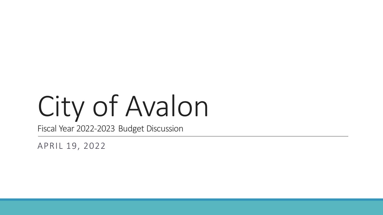# City of Avalon

Fiscal Year 2022-2023 Budget Discussion

APRIL 19, 2022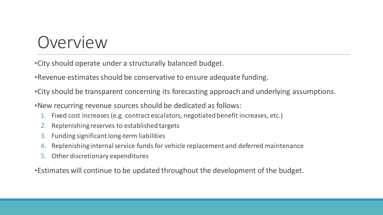#### Overview

•City should operate under a structurally balanced budget.

•Revenue estimates should be conservative to ensure adequate funding.

•City should be transparent concerning its forecasting approach and underlying assumptions.

•New recurring revenue sources should be dedicated as follows:

- 1. Fixed cost increases (e.g. contract escalators, negotiated benefit increases, etc.)
- 2. Replenishing reserves to established targets
- 3. Funding significant long-term liabilities
- 4. Replenishing internal service funds for vehicle replacement and deferred maintenance
- 5. Other discretionary expenditures

•Estimates will continue to be updated throughout the development of the budget.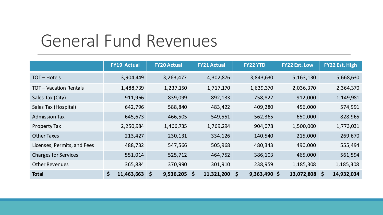### General Fund Revenues

|                             | <b>FY19 Actual</b> | <b>FY20 Actual</b>   | <b>FY21 Actual</b> | <b>FY22 YTD</b> | <b>FY22 Est. Low</b> | FY22 Est. High |
|-----------------------------|--------------------|----------------------|--------------------|-----------------|----------------------|----------------|
| TOT-Hotels                  | 3,904,449          | 3,263,477            | 4,302,876          | 3,843,630       | 5,163,130            | 5,668,630      |
| <b>TOT-Vacation Rentals</b> | 1,488,739          | 1,237,150            | 1,717,170          | 1,639,370       | 2,036,370            | 2,364,370      |
| Sales Tax (City)            | 911,966            | 839,099              | 892,133            | 758,822         | 912,000              | 1,149,981      |
| Sales Tax (Hospital)        | 642,796            | 588,840              | 483,422            | 409,280         | 456,000              | 574,991        |
| <b>Admission Tax</b>        | 645,673            | 466,505              | 549,551            | 562,365         | 650,000              | 828,965        |
| <b>Property Tax</b>         | 2,250,984          | 1,466,735            | 1,769,294          | 904,078         | 1,500,000            | 1,773,031      |
| <b>Other Taxes</b>          | 213,427            | 230,131              | 334,126            | 140,540         | 215,000              | 269,670        |
| Licenses, Permits, and Fees | 488,732            | 547,566              | 505,968            | 480,343         | 490,000              | 555,494        |
| <b>Charges for Services</b> | 551,014            | 525,712              | 464,752            | 386,103         | 465,000              | 561,594        |
| <b>Other Revenues</b>       | 365,884            | 370,990              | 301,910            | 238,959         | 1,185,308            | 1,185,308      |
| <b>Total</b>                | \$<br>11,463,663   | $9,536,205$ \$<br>\$ | $11,321,200$ \$    | $9,363,490$ \$  | 13,072,808 \$        | 14,932,034     |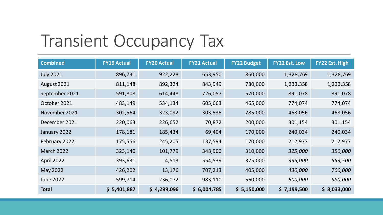### Transient Occupancy Tax

| <b>Combined</b>   | <b>FY19 Actual</b> | <b>FY20 Actual</b> | <b>FY21 Actual</b> | <b>FY22 Budget</b> | <b>FY22 Est. Low</b> | FY22 Est. High |
|-------------------|--------------------|--------------------|--------------------|--------------------|----------------------|----------------|
| <b>July 2021</b>  | 896,731            | 922,228            | 653,950            | 860,000            | 1,328,769            | 1,328,769      |
| August 2021       | 811,148            | 892,324            | 843,949            | 780,000            | 1,233,358            | 1,233,358      |
| September 2021    | 591,808            | 614,448            | 726,057            | 570,000            | 891,078              | 891,078        |
| October 2021      | 483,149            | 534,134            | 605,663            | 465,000            | 774,074              | 774,074        |
| November 2021     | 302,564            | 323,092            | 303,535            | 285,000            | 468,056              | 468,056        |
| December 2021     | 220,063            | 226,652            | 70,872             | 200,000            | 301,154              | 301,154        |
| January 2022      | 178,181            | 185,434            | 69,404             | 170,000            | 240,034              | 240,034        |
| February 2022     | 175,556            | 245,205            | 137,594            | 170,000            | 212,977              | 212,977        |
| <b>March 2022</b> | 323,140            | 101,779            | 348,900            | 310,000            | 325,000              | 350,000        |
| April 2022        | 393,631            | 4,513              | 554,539            | 375,000            | 395,000              | 553,500        |
| May 2022          | 426,202            | 13,176             | 707,213            | 405,000            | 430,000              | 700,000        |
| <b>June 2022</b>  | 599,714            | 236,072            | 983,110            | 560,000            | 600,000              | 980,000        |
| <b>Total</b>      | \$5,401,887        | \$4,299,096        | \$6,004,785        | \$ 5,150,000       | \$7,199,500          | \$8,033,000    |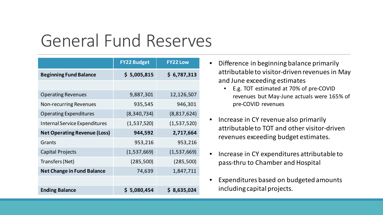### General Fund Reserves

|                                      | <b>FY22 Budget</b> | <b>FY22 Low</b> |
|--------------------------------------|--------------------|-----------------|
| <b>Beginning Fund Balance</b>        | \$5,005,815        | \$6,787,313     |
|                                      |                    |                 |
| <b>Operating Revenues</b>            | 9,887,301          | 12,126,507      |
| <b>Non-recurring Revenues</b>        | 935,545            | 946,301         |
| <b>Operating Expenditures</b>        | (8, 340, 734)      | (8,817,624)     |
| <b>Internal Service Expenditures</b> | (1,537,520)        | (1,537,520)     |
| <b>Net Operating Revenue (Loss)</b>  | 944,592            | 2,717,664       |
| Grants                               | 953,216            | 953,216         |
| <b>Capital Projects</b>              | (1,537,669)        | (1,537,669)     |
| Transfers (Net)                      | (285,500)          | (285, 500)      |
| <b>Net Change in Fund Balance</b>    | 74,639             | 1,847,711       |
|                                      |                    |                 |
| <b>Ending Balance</b>                | \$5,080,454        | \$8,635,024     |

- Difference in beginning balance primarily attributable to visitor-driven revenues in May and June exceeding estimates
	- E.g. TOT estimated at 70% of pre-COVID revenues but May-June actuals were 165% of pre-COVID revenues
- Increase in CY revenue also primarily attributable to TOT and other visitor-driven revenues exceeding budget estimates.
- Increase in CY expenditures attributable to pass-thru to Chamber and Hospital
- Expenditures based on budgeted amounts including capital projects.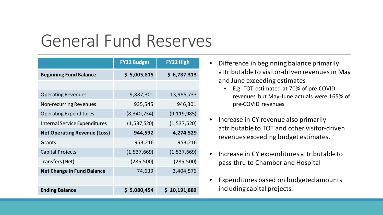### General Fund Reserves

|                                      | <b>FY22 Budget</b> | <b>FY22 High</b> |
|--------------------------------------|--------------------|------------------|
| <b>Beginning Fund Balance</b>        | \$5,005,815        | \$6,787,313      |
|                                      |                    |                  |
| <b>Operating Revenues</b>            | 9,887,301          | 13,985,733       |
| <b>Non-recurring Revenues</b>        | 935,545            | 946,301          |
| <b>Operating Expenditures</b>        | (8, 340, 734)      | (9, 119, 985)    |
| <b>Internal Service Expenditures</b> | (1,537,520)        | (1,537,520)      |
| <b>Net Operating Revenue (Loss)</b>  | 944,592            | 4,274,529        |
| Grants                               | 953,216            | 953,216          |
| <b>Capital Projects</b>              | (1,537,669)        | (1,537,669)      |
| Transfers (Net)                      | (285,500)          | (285, 500)       |
| <b>Net Change in Fund Balance</b>    | 74,639             | 3,404,576        |
|                                      |                    |                  |
| <b>Ending Balance</b>                | \$5,080,454        | \$10,191,889     |

- Difference in beginning balance primarily attributable to visitor-driven revenues in May and June exceeding estimates
	- E.g. TOT estimated at 70% of pre-COVID revenues but May-June actuals were 165% of pre-COVID revenues
- Increase in CY revenue also primarily attributable to TOT and other visitor-driven revenues exceeding budget estimates.
- Increase in CY expenditures attributable to pass-thru to Chamber and Hospital
- Expenditures based on budgeted amounts including capital projects.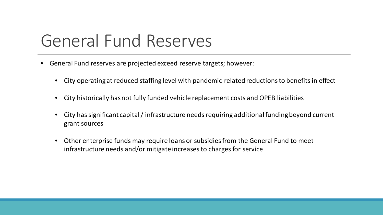### General Fund Reserves

- General Fund reserves are projected exceed reserve targets; however:
	- City operating at reduced staffing level with pandemic-related reductions to benefits in effect
	- City historically has not fully funded vehicle replacement costs and OPEB liabilities
	- City has significant capital / infrastructure needs requiring additional funding beyond current grant sources
	- Other enterprise funds may require loans or subsidies from the General Fund to meet infrastructure needs and/or mitigate increases to charges for service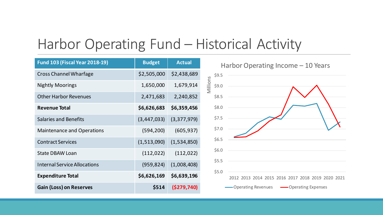#### Harbor Operating Fund – Historical Activity

| <b>Fund 103 (Fiscal Year 2018-19)</b> | <b>Budget</b> | <b>Actual</b> | Harbor Operating            |
|---------------------------------------|---------------|---------------|-----------------------------|
| <b>Cross Channel Wharfage</b>         | \$2,505,000   | \$2,438,689   | \$9.5                       |
| <b>Nightly Moorings</b>               | 1,650,000     | 1,679,914     | Viillions<br>\$9.0          |
| <b>Other Harbor Revenues</b>          | 2,471,683     | 2,240,852     | \$8.5                       |
| <b>Revenue Total</b>                  | \$6,626,683   | \$6,359,456   | \$8.0                       |
| <b>Salaries and Benefits</b>          | (3,447,033)   | (3,377,979)   | \$7.5                       |
| <b>Maintenance and Operations</b>     | (594, 200)    | (605, 937)    | \$7.0                       |
| <b>Contract Services</b>              | (1,513,090)   | (1,534,850)   | \$6.5                       |
| <b>State DBAW Loan</b>                | (112, 022)    | (112, 022)    | \$6.0                       |
| <b>Internal Service Allocations</b>   | (959, 824)    | (1,008,408)   | \$5.5                       |
| <b>Expenditure Total</b>              | \$6,626,169   | \$6,639,196   | \$5.0<br>2012 2013 2014 201 |
| <b>Gain (Loss) on Reserves</b>        | \$514         | ( \$279, 740] | Operating Revenues          |
|                                       |               |               |                             |

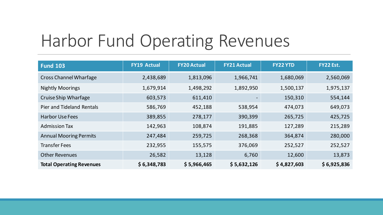# Harbor Fund Operating Revenues

| <b>Fund 103</b>                 | <b>FY19 Actual</b> | <b>FY20 Actual</b> | <b>FY21 Actual</b> | <b>FY22 YTD</b> | FY22 Est.   |
|---------------------------------|--------------------|--------------------|--------------------|-----------------|-------------|
| <b>Cross Channel Wharfage</b>   | 2,438,689          | 1,813,096          | 1,966,741          | 1,680,069       | 2,560,069   |
| <b>Nightly Moorings</b>         | 1,679,914          | 1,498,292          | 1,892,950          | 1,500,137       | 1,975,137   |
| <b>Cruise Ship Wharfage</b>     | 603,573            | 611,410            |                    | 150,310         | 554,144     |
| Pier and Tideland Rentals       | 586,769            | 452,188            | 538,954            | 474,073         | 649,073     |
| <b>Harbor Use Fees</b>          | 389,855            | 278,177            | 390,399            | 265,725         | 425,725     |
| <b>Admission Tax</b>            | 142,963            | 108,874            | 191,885            | 127,289         | 215,289     |
| <b>Annual Mooring Permits</b>   | 247,484            | 259,725            | 268,368            | 364,874         | 280,000     |
| <b>Transfer Fees</b>            | 232,955            | 155,575            | 376,069            | 252,527         | 252,527     |
| <b>Other Revenues</b>           | 26,582             | 13,128             | 6,760              | 12,600          | 13,873      |
| <b>Total Operating Revenues</b> | \$6,348,783        | \$5,966,465        | \$5,632,126        | \$4,827,603     | \$6,925,836 |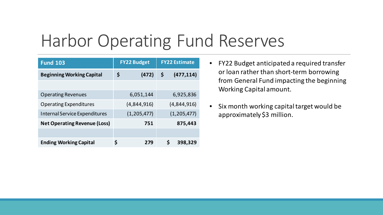# Harbor Operating Fund Reserves

| <b>Fund 103</b>                      | <b>FY22 Budget</b> | <b>FY22 Estimate</b> |  |  |
|--------------------------------------|--------------------|----------------------|--|--|
| <b>Beginning Working Capital</b>     | \$<br>(472)        | \$<br>(477, 114)     |  |  |
|                                      |                    |                      |  |  |
| <b>Operating Revenues</b>            | 6,051,144          | 6,925,836            |  |  |
| <b>Operating Expenditures</b>        | (4,844,916)        | (4,844,916)          |  |  |
| <b>Internal Service Expenditures</b> | (1,205,477)        | (1,205,477)          |  |  |
| <b>Net Operating Revenue (Loss)</b>  | 751                | 875,443              |  |  |
|                                      |                    |                      |  |  |
| <b>Ending Working Capital</b>        | \$<br>279          | \$<br>398,329        |  |  |

- FY22 Budget anticipated a required transfer or loan rather than short-term borrowing from General Fund impacting the beginning Working Capital amount.
- Six month working capital target would be approximately \$3 million.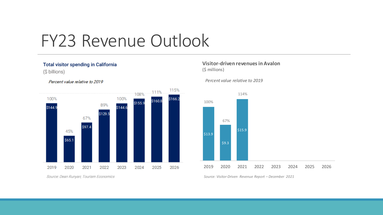#### FY23 Revenue Outlook

#### Total visitor spending in California

(\$ billions)



Percent value relative to 2019

Source: Dean Runyan; Tourism Economics

#### **Visitor-driven revenues in Avalon** (\$ millions)

*Percent value relative to 2019*



*Source: Visitor-Driven Revenue Report – December 2021*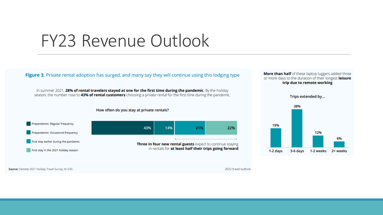#### FY23 Revenue Outlook

Figure 3. Private rental adoption has surged, and many say they will continue using this lodging type

In summer 2021, 28% of rental travelers stayed at one for the first time during the pandemic. By the holiday season, the number rose to 43% of rental customers choosing a private rental for the first time during the pandemic.

How often do you stay at private rentals?



More than half of these laptop luggers added three or more days to the duration of their longest leisure trip due to remote working



Source: Deloitte 2021 Holiday Travel Survey, N=239.

2022 travel outlook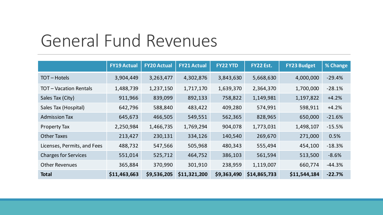### General Fund Revenues

|                             | <b>FY19 Actual</b> | <b>FY20 Actual</b> | <b>FY21 Actual</b> | <b>FY22 YTD</b> | FY22 Est.    | <b>FY23 Budget</b> | % Change |
|-----------------------------|--------------------|--------------------|--------------------|-----------------|--------------|--------------------|----------|
| TOT-Hotels                  | 3,904,449          | 3,263,477          | 4,302,876          | 3,843,630       | 5,668,630    | 4,000,000          | $-29.4%$ |
| <b>TOT-Vacation Rentals</b> | 1,488,739          | 1,237,150          | 1,717,170          | 1,639,370       | 2,364,370    | 1,700,000          | $-28.1%$ |
| Sales Tax (City)            | 911,966            | 839,099            | 892,133            | 758,822         | 1,149,981    | 1,197,822          | $+4.2%$  |
| Sales Tax (Hospital)        | 642,796            | 588,840            | 483,422            | 409,280         | 574,991      | 598,911            | $+4.2%$  |
| <b>Admission Tax</b>        | 645,673            | 466,505            | 549,551            | 562,365         | 828,965      | 650,000            | $-21.6%$ |
| <b>Property Tax</b>         | 2,250,984          | 1,466,735          | 1,769,294          | 904,078         | 1,773,031    | 1,498,107          | $-15.5%$ |
| <b>Other Taxes</b>          | 213,427            | 230,131            | 334,126            | 140,540         | 269,670      | 271,000            | 0.5%     |
| Licenses, Permits, and Fees | 488,732            | 547,566            | 505,968            | 480,343         | 555,494      | 454,100            | $-18.3%$ |
| <b>Charges for Services</b> | 551,014            | 525,712            | 464,752            | 386,103         | 561,594      | 513,500            | $-8.6%$  |
| <b>Other Revenues</b>       | 365,884            | 370,990            | 301,910            | 238,959         | 1,119,007    | 660,774            | $-44.3%$ |
| <b>Total</b>                | \$11,463,663       | \$9,536,205        | \$11,321,200       | \$9,363,490     | \$14,865,733 | \$11,544,184       | $-22.7%$ |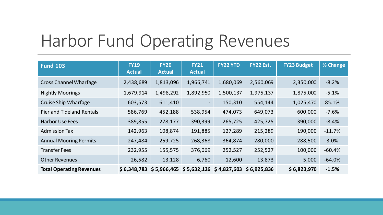# Harbor Fund Operating Revenues

| <b>Fund 103</b>                 | <b>FY19</b><br><b>Actual</b> | <b>FY20</b><br><b>Actual</b> | <b>FY21</b><br><b>Actual</b> | <b>FY22 YTD</b> | FY22 Est.   | <b>FY23 Budget</b> | % Change |
|---------------------------------|------------------------------|------------------------------|------------------------------|-----------------|-------------|--------------------|----------|
| <b>Cross Channel Wharfage</b>   | 2,438,689                    | 1,813,096                    | 1,966,741                    | 1,680,069       | 2,560,069   | 2,350,000          | $-8.2%$  |
| <b>Nightly Moorings</b>         | 1,679,914                    | 1,498,292                    | 1,892,950                    | 1,500,137       | 1,975,137   | 1,875,000          | $-5.1%$  |
| <b>Cruise Ship Wharfage</b>     | 603,573                      | 611,410                      | $\overline{\phantom{a}}$     | 150,310         | 554,144     | 1,025,470          | 85.1%    |
| Pier and Tideland Rentals       | 586,769                      | 452,188                      | 538,954                      | 474,073         | 649,073     | 600,000            | $-7.6%$  |
| <b>Harbor Use Fees</b>          | 389,855                      | 278,177                      | 390,399                      | 265,725         | 425,725     | 390,000            | $-8.4%$  |
| <b>Admission Tax</b>            | 142,963                      | 108,874                      | 191,885                      | 127,289         | 215,289     | 190,000            | $-11.7%$ |
| <b>Annual Mooring Permits</b>   | 247,484                      | 259,725                      | 268,368                      | 364,874         | 280,000     | 288,500            | 3.0%     |
| <b>Transfer Fees</b>            | 232,955                      | 155,575                      | 376,069                      | 252,527         | 252,527     | 100,000            | $-60.4%$ |
| <b>Other Revenues</b>           | 26,582                       | 13,128                       | 6,760                        | 12,600          | 13,873      | 5,000              | $-64.0%$ |
| <b>Total Operating Revenues</b> | \$6,348,783                  | \$5,966,465                  | $$5,632,126$ $$4,827,603$    |                 | \$6,925,836 | \$6,823,970        | $-1.5%$  |